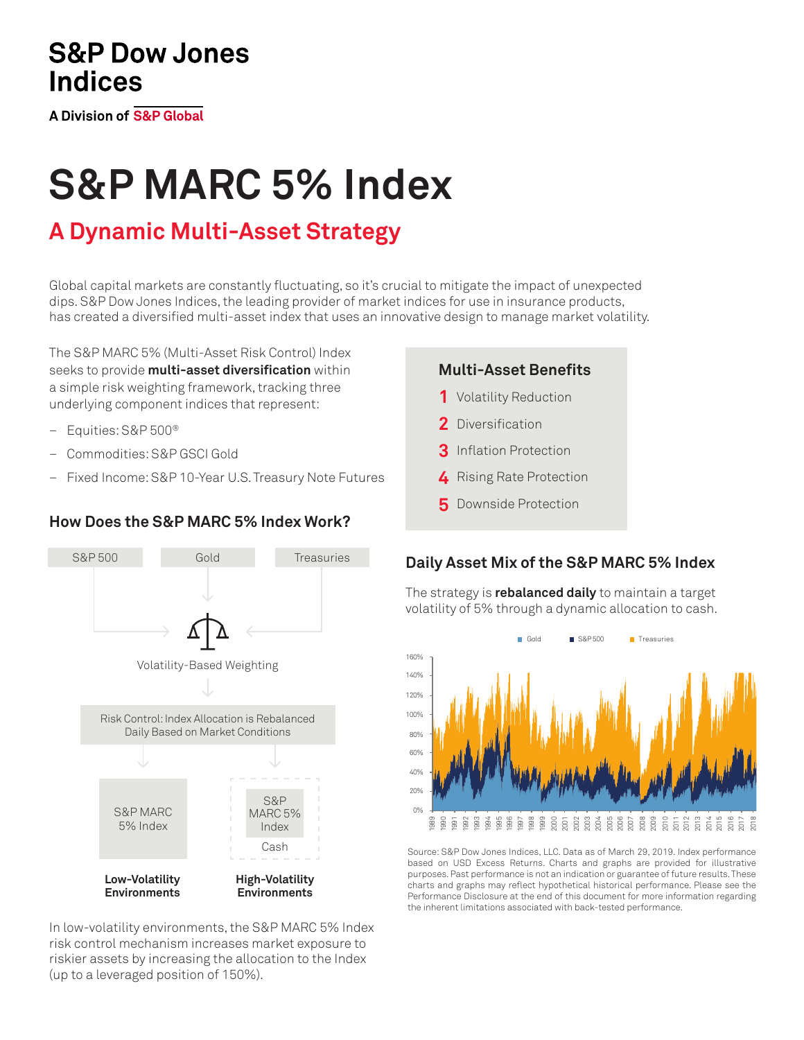# **S&P Dow Jones Indices**

**A Division of S&P Global** 

# **S&P MARC 5% Index**

# **A Dynamic Multi-Asset Strategy**

Global capital markets are constantly fluctuating, so it's crucial to mitigate the impact of unexpected dips. S&P Dow Jones Indices, the leading provider of market indices for use in insurance products, has created a diversified multi-asset index that uses an innovative design to manage market volatility.

The S&P MARC 5% (Multi-Asset Risk Control) Index seeks to provide **multi-asset diversification** within a simple risk weighting framework, tracking three underlying component indices that represent:

- Equities: S&P 500®
- Commodities: S&P GSCI Gold
- Fixed Income: S&P 10-Year U.S. Treasury Note Futures

## **How Does the S&P MARC 5% Index Work?**



In low-volatility environments, the S&P MARC 5% Index risk control mechanism increases market exposure to riskier assets by increasing the allocation to the Index (up to a leveraged position of 150%).

#### **Multi-Asset Benefits**

- 1 Volatility Reduction
- 2 Diversification
- **3** Inflation Protection
- 4 Rising Rate Protection
- **5** Downside Protection

## **Daily Asset Mix of the S&P MARC 5% Index**

The strategy is **rebalanced daily** to maintain a target volatility of 5% through a dynamic allocation to cash.



Source: S&P Dow Jones Indices, LLC. Data as of March 29, 2019. Index performance based on USD Excess Returns. Charts and graphs are provided for illustrative purposes. Past performance is not an indication or guarantee of future results. These charts and graphs may reflect hypothetical historical performance. Please see the Performance Disclosure at the end of this document for more information regarding the inherent limitations associated with back-tested performance.